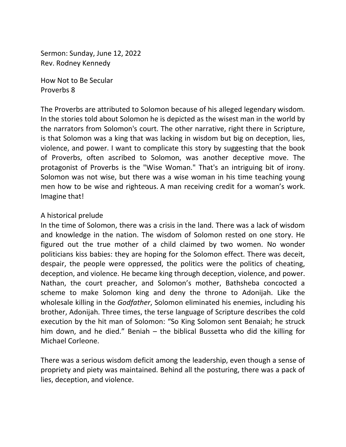Sermon: Sunday, June 12, 2022 Rev. Rodney Kennedy

How Not to Be Secular Proverbs 8

The Proverbs are attributed to Solomon because of his alleged legendary wisdom. In the stories told about Solomon he is depicted as the wisest man in the world by the narrators from Solomon's court. The other narrative, right there in Scripture, is that Solomon was a king that was lacking in wisdom but big on deception, lies, violence, and power. I want to complicate this story by suggesting that the book of Proverbs, often ascribed to Solomon, was another deceptive move. The protagonist of Proverbs is the "Wise Woman." That's an intriguing bit of irony. Solomon was not wise, but there was a wise woman in his time teaching young men how to be wise and righteous. A man receiving credit for a woman's work. Imagine that!

## A historical prelude

In the time of Solomon, there was a crisis in the land. There was a lack of wisdom and knowledge in the nation. The wisdom of Solomon rested on one story. He figured out the true mother of a child claimed by two women. No wonder politicians kiss babies: they are hoping for the Solomon effect. There was deceit, despair, the people were oppressed, the politics were the politics of cheating, deception, and violence. He became king through deception, violence, and power. Nathan, the court preacher, and Solomon's mother, Bathsheba concocted a scheme to make Solomon king and deny the throne to Adonijah. Like the wholesale killing in the *Godfather*, Solomon eliminated his enemies, including his brother, Adonijah. Three times, the terse language of Scripture describes the cold execution by the hit man of Solomon: "So King Solomon sent Benaiah; he struck him down, and he died." Beniah – the biblical Bussetta who did the killing for Michael Corleone.

There was a serious wisdom deficit among the leadership, even though a sense of propriety and piety was maintained. Behind all the posturing, there was a pack of lies, deception, and violence.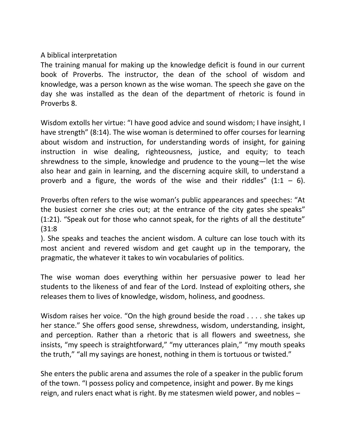## A biblical interpretation

The training manual for making up the knowledge deficit is found in our current book of Proverbs. The instructor, the dean of the school of wisdom and knowledge, was a person known as the wise woman. The speech she gave on the day she was installed as the dean of the department of rhetoric is found in Proverbs 8.

Wisdom extolls her virtue: "I have good advice and sound wisdom; I have insight, I have strength" (8:14). The wise woman is determined to offer courses for learning about wisdom and instruction, for understanding words of insight, for gaining instruction in wise dealing, righteousness, justice, and equity; to teach shrewdness to the simple, knowledge and prudence to the young—let the wise also hear and gain in learning, and the discerning acquire skill, to understand a proverb and a figure, the words of the wise and their riddles"  $(1:1 - 6)$ .

Proverbs often refers to the wise woman's public appearances and speeches: "At the busiest corner she cries out; at the entrance of the city gates she speaks["](https://classic.biblegateway.com/passage/?search=Proverbs+1:21&version=NRSV) [\(1:21](https://classic.biblegateway.com/passage/?search=Proverbs+1:21&version=NRSV)). "Speak out for those who cannot speak, for the rights of all the destitute" [\(31:8](https://classic.biblegateway.com/passage/?search=Proverbs+31:8&version=NRSV)

). She speaks and teaches the ancient wisdom. A culture can lose touch with its most ancient and revered wisdom and get caught up in the temporary, the pragmatic, the whatever it takes to win vocabularies of politics.

The wise woman does everything within her persuasive power to lead her students to the likeness of and fear of the Lord. Instead of exploiting others, she releases them to lives of knowledge, wisdom, holiness, and goodness.

Wisdom raises her voice. "On the high ground beside the road . . . . she takes up her stance." She offers good sense, shrewdness, wisdom, understanding, insight, and perception. Rather than a rhetoric that is all flowers and sweetness, she insists, "my speech is straightforward," "my utterances plain," "my mouth speaks the truth," "all my sayings are honest, nothing in them is tortuous or twisted."

She enters the public arena and assumes the role of a speaker in the public forum of the town. "I possess policy and competence, insight and power. By me kings reign, and rulers enact what is right. By me statesmen wield power, and nobles –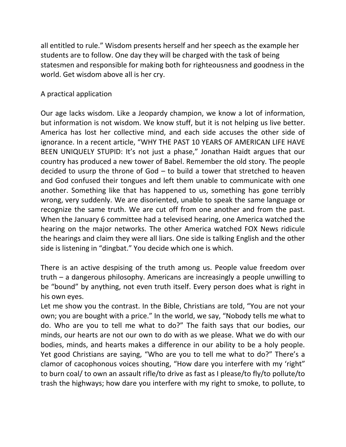all entitled to rule." Wisdom presents herself and her speech as the example her students are to follow. One day they will be charged with the task of being statesmen and responsible for making both for righteousness and goodness in the world. Get wisdom above all is her cry.

## A practical application

Our age lacks wisdom. Like a Jeopardy champion, we know a lot of information, but information is not wisdom. We know stuff, but it is not helping us live better. America has lost her collective mind, and each side accuses the other side of ignorance. In a recent article, "WHY THE PAST 10 YEARS OF AMERICAN LIFE HAVE BEEN UNIQUELY STUPID: It's not just a phase," Jonathan Haidt argues that our country has produced a new tower of Babel. Remember the old story. The people decided to usurp the throne of God – to build a tower that stretched to heaven and God confused their tongues and left them unable to communicate with one another. Something like that has happened to us, something has gone terribly wrong, very suddenly. We are disoriented, unable to speak the same language or recognize the same truth. We are cut off from one another and from the past. When the January 6 committee had a televised hearing, one America watched the hearing on the major networks. The other America watched FOX News ridicule the hearings and claim they were all liars. One side is talking English and the other side is listening in "dingbat." You decide which one is which.

There is an active despising of the truth among us. People value freedom over truth – a dangerous philosophy. Americans are increasingly a people unwilling to be "bound" by anything, not even truth itself. Every person does what is right in his own eyes.

Let me show you the contrast. In the Bible, Christians are told, "You are not your own; you are bought with a price." In the world, we say, "Nobody tells me what to do. Who are you to tell me what to do?" The faith says that our bodies, our minds, our hearts are not our own to do with as we please. What we do with our bodies, minds, and hearts makes a difference in our ability to be a holy people. Yet good Christians are saying, "Who are you to tell me what to do?" There's a clamor of cacophonous voices shouting, "How dare you interfere with my 'right" to burn coal/ to own an assault rifle/to drive as fast as I please/to fly/to pollute/to trash the highways; how dare you interfere with my right to smoke, to pollute, to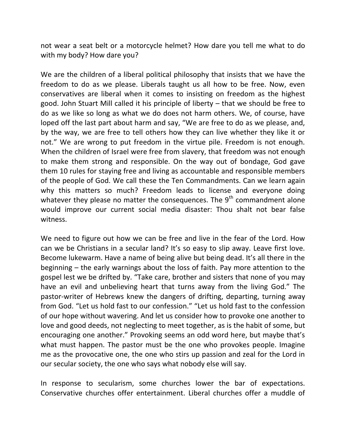not wear a seat belt or a motorcycle helmet? How dare you tell me what to do with my body? How dare you?

We are the children of a liberal political philosophy that insists that we have the freedom to do as we please. Liberals taught us all how to be free. Now, even conservatives are liberal when it comes to insisting on freedom as the highest good. John Stuart Mill called it his principle of liberty – that we should be free to do as we like so long as what we do does not harm others. We, of course, have loped off the last part about harm and say, "We are free to do as we please, and, by the way, we are free to tell others how they can live whether they like it or not." We are wrong to put freedom in the virtue pile. Freedom is not enough. When the children of Israel were free from slavery, that freedom was not enough to make them strong and responsible. On the way out of bondage, God gave them 10 rules for staying free and living as accountable and responsible members of the people of God. We call these the Ten Commandments. Can we learn again why this matters so much? Freedom leads to license and everyone doing whatever they please no matter the consequences. The  $9<sup>th</sup>$  commandment alone would improve our current social media disaster: Thou shalt not bear false witness.

We need to figure out how we can be free and live in the fear of the Lord. How can we be Christians in a secular land? It's so easy to slip away. Leave first love. Become lukewarm. Have a name of being alive but being dead. It's all there in the beginning – the early warnings about the loss of faith. Pay more attention to the gospel lest we be drifted by. "Take care, brother and sisters that none of you may have an evil and unbelieving heart that turns away from the living God." The pastor-writer of Hebrews knew the dangers of drifting, departing, turning away from God. "Let us hold fast to our confession." "Let us hold fast to the confession of our hope without wavering. And let us consider how to provoke one another to love and good deeds, not neglecting to meet together, as is the habit of some, but encouraging one another." Provoking seems an odd word here, but maybe that's what must happen. The pastor must be the one who provokes people. Imagine me as the provocative one, the one who stirs up passion and zeal for the Lord in our secular society, the one who says what nobody else will say.

In response to secularism, some churches lower the bar of expectations. Conservative churches offer entertainment. Liberal churches offer a muddle of